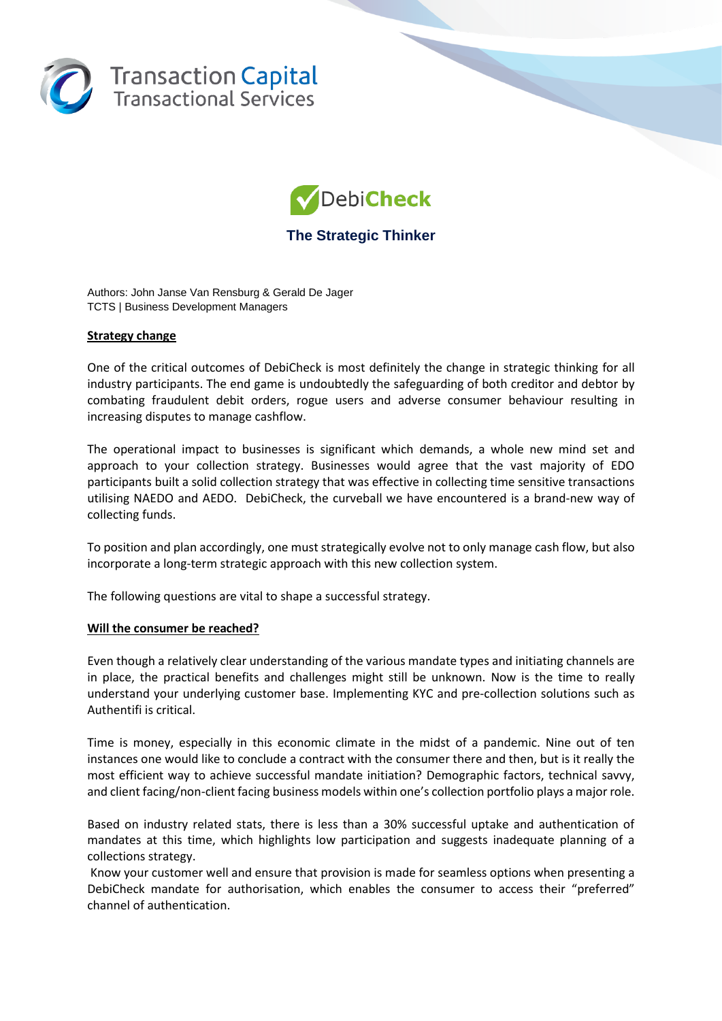



# **The Strategic Thinker**

Authors: John Janse Van Rensburg & Gerald De Jager TCTS | Business Development Managers

## **Strategy change**

One of the critical outcomes of DebiCheck is most definitely the change in strategic thinking for all industry participants. The end game is undoubtedly the safeguarding of both creditor and debtor by combating fraudulent debit orders, rogue users and adverse consumer behaviour resulting in increasing disputes to manage cashflow.

The operational impact to businesses is significant which demands, a whole new mind set and approach to your collection strategy. Businesses would agree that the vast majority of EDO participants built a solid collection strategy that was effective in collecting time sensitive transactions utilising NAEDO and AEDO. DebiCheck, the curveball we have encountered is a brand-new way of collecting funds.

To position and plan accordingly, one must strategically evolve not to only manage cash flow, but also incorporate a long-term strategic approach with this new collection system.

The following questions are vital to shape a successful strategy.

### **Will the consumer be reached?**

Even though a relatively clear understanding of the various mandate types and initiating channels are in place, the practical benefits and challenges might still be unknown. Now is the time to really understand your underlying customer base. Implementing KYC and pre-collection solutions such as Authentifi is critical.

Time is money, especially in this economic climate in the midst of a pandemic. Nine out of ten instances one would like to conclude a contract with the consumer there and then, but is it really the most efficient way to achieve successful mandate initiation? Demographic factors, technical savvy, and client facing/non-client facing business models within one's collection portfolio plays a major role.

Based on industry related stats, there is less than a 30% successful uptake and authentication of mandates at this time, which highlights low participation and suggests inadequate planning of a collections strategy.

Know your customer well and ensure that provision is made for seamless options when presenting a DebiCheck mandate for authorisation, which enables the consumer to access their "preferred" channel of authentication.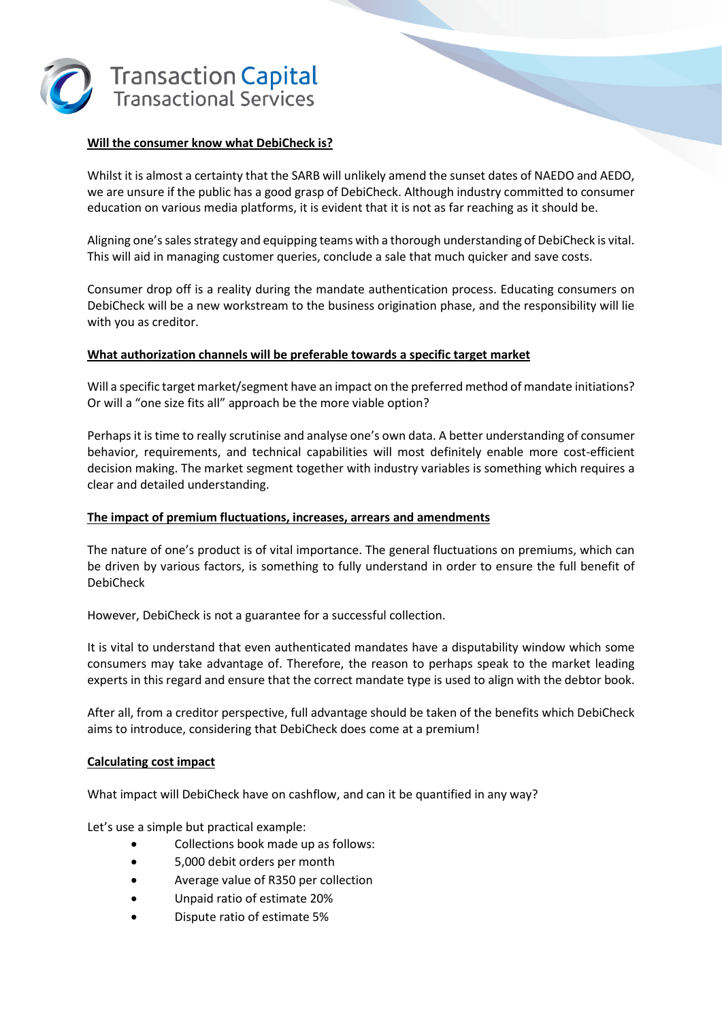

## **Will the consumer know what DebiCheck is?**

Whilst it is almost a certainty that the SARB will unlikely amend the sunset dates of NAEDO and AEDO, we are unsure if the public has a good grasp of DebiCheck. Although industry committed to consumer education on various media platforms, it is evident that it is not as far reaching as it should be.

Aligning one's sales strategy and equipping teams with a thorough understanding of DebiCheck is vital. This will aid in managing customer queries, conclude a sale that much quicker and save costs.

Consumer drop off is a reality during the mandate authentication process. Educating consumers on DebiCheck will be a new workstream to the business origination phase, and the responsibility will lie with you as creditor.

## **What authorization channels will be preferable towards a specific target market**

Will a specific target market/segment have an impact on the preferred method of mandate initiations? Or will a "one size fits all" approach be the more viable option?

Perhaps it is time to really scrutinise and analyse one's own data. A better understanding of consumer behavior, requirements, and technical capabilities will most definitely enable more cost-efficient decision making. The market segment together with industry variables is something which requires a clear and detailed understanding.

## **The impact of premium fluctuations, increases, arrears and amendments**

The nature of one's product is of vital importance. The general fluctuations on premiums, which can be driven by various factors, is something to fully understand in order to ensure the full benefit of DebiCheck

However, DebiCheck is not a guarantee for a successful collection.

It is vital to understand that even authenticated mandates have a disputability window which some consumers may take advantage of. Therefore, the reason to perhaps speak to the market leading experts in this regard and ensure that the correct mandate type is used to align with the debtor book.

After all, from a creditor perspective, full advantage should be taken of the benefits which DebiCheck aims to introduce, considering that DebiCheck does come at a premium!

## **Calculating cost impact**

What impact will DebiCheck have on cashflow, and can it be quantified in any way?

Let's use a simple but practical example:

- Collections book made up as follows:
- 5,000 debit orders per month
- Average value of R350 per collection
- Unpaid ratio of estimate 20%
- Dispute ratio of estimate 5%